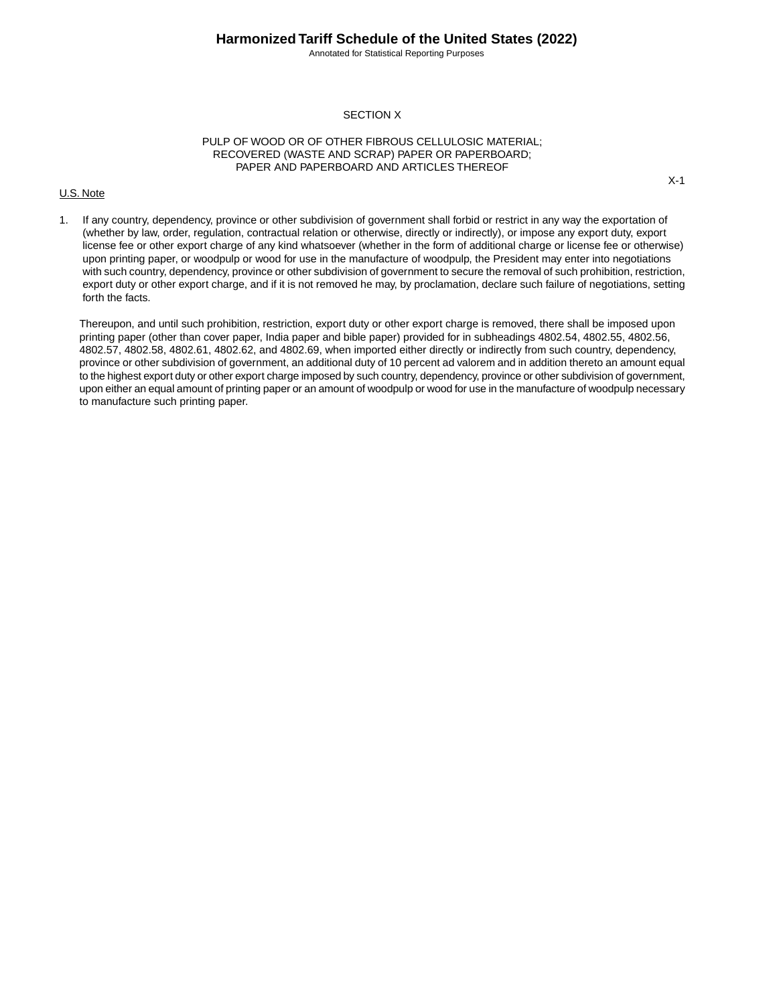# **Harmonized Tariff Schedule of the United States (2022)**

Annotated for Statistical Reporting Purposes

X-1

# SECTION X

# PULP OF WOOD OR OF OTHER FIBROUS CELLULOSIC MATERIAL; RECOVERED (WASTE AND SCRAP) PAPER OR PAPERBOARD; PAPER AND PAPERBOARD AND ARTICLES THEREOF

## U.S. Note

1. If any country, dependency, province or other subdivision of government shall forbid or restrict in any way the exportation of (whether by law, order, regulation, contractual relation or otherwise, directly or indirectly), or impose any export duty, export license fee or other export charge of any kind whatsoever (whether in the form of additional charge or license fee or otherwise) upon printing paper, or woodpulp or wood for use in the manufacture of woodpulp, the President may enter into negotiations with such country, dependency, province or other subdivision of government to secure the removal of such prohibition, restriction, export duty or other export charge, and if it is not removed he may, by proclamation, declare such failure of negotiations, setting forth the facts.

Thereupon, and until such prohibition, restriction, export duty or other export charge is removed, there shall be imposed upon printing paper (other than cover paper, India paper and bible paper) provided for in subheadings 4802.54, 4802.55, 4802.56, 4802.57, 4802.58, 4802.61, 4802.62, and 4802.69, when imported either directly or indirectly from such country, dependency, province or other subdivision of government, an additional duty of 10 percent ad valorem and in addition thereto an amount equal to the highest export duty or other export charge imposed by such country, dependency, province or other subdivision of government, upon either an equal amount of printing paper or an amount of woodpulp or wood for use in the manufacture of woodpulp necessary to manufacture such printing paper.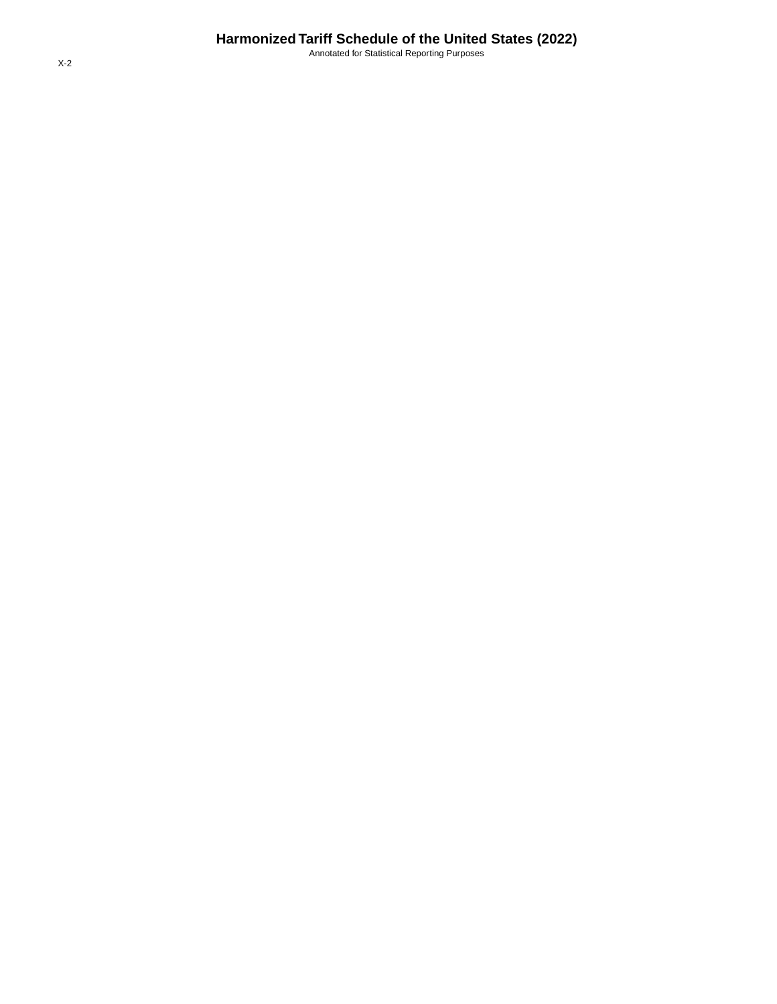Annotated for Statistical Reporting Purposes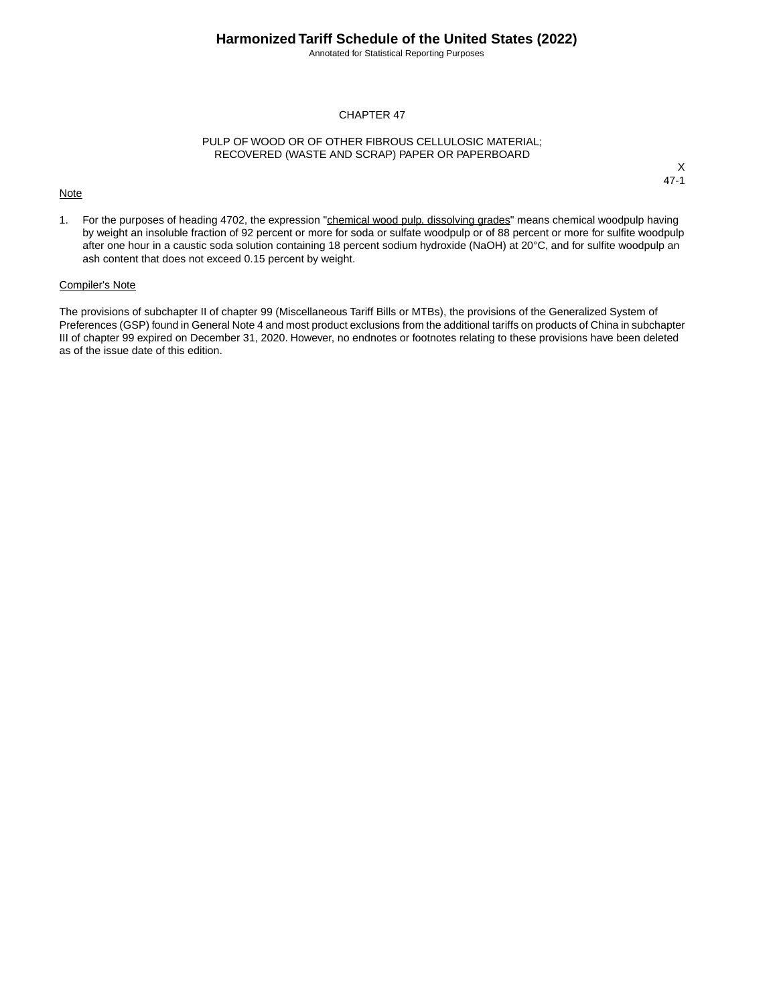# **Harmonized Tariff Schedule of the United States (2022)**

Annotated for Statistical Reporting Purposes

### CHAPTER 47

# PULP OF WOOD OR OF OTHER FIBROUS CELLULOSIC MATERIAL; RECOVERED (WASTE AND SCRAP) PAPER OR PAPERBOARD

#### **Note**

X 47-1

1. For the purposes of heading 4702, the expression "chemical wood pulp, dissolving grades" means chemical woodpulp having by weight an insoluble fraction of 92 percent or more for soda or sulfate woodpulp or of 88 percent or more for sulfite woodpulp after one hour in a caustic soda solution containing 18 percent sodium hydroxide (NaOH) at 20°C, and for sulfite woodpulp an ash content that does not exceed 0.15 percent by weight.

# Compiler's Note

The provisions of subchapter II of chapter 99 (Miscellaneous Tariff Bills or MTBs), the provisions of the Generalized System of Preferences (GSP) found in General Note 4 and most product exclusions from the additional tariffs on products of China in subchapter III of chapter 99 expired on December 31, 2020. However, no endnotes or footnotes relating to these provisions have been deleted as of the issue date of this edition.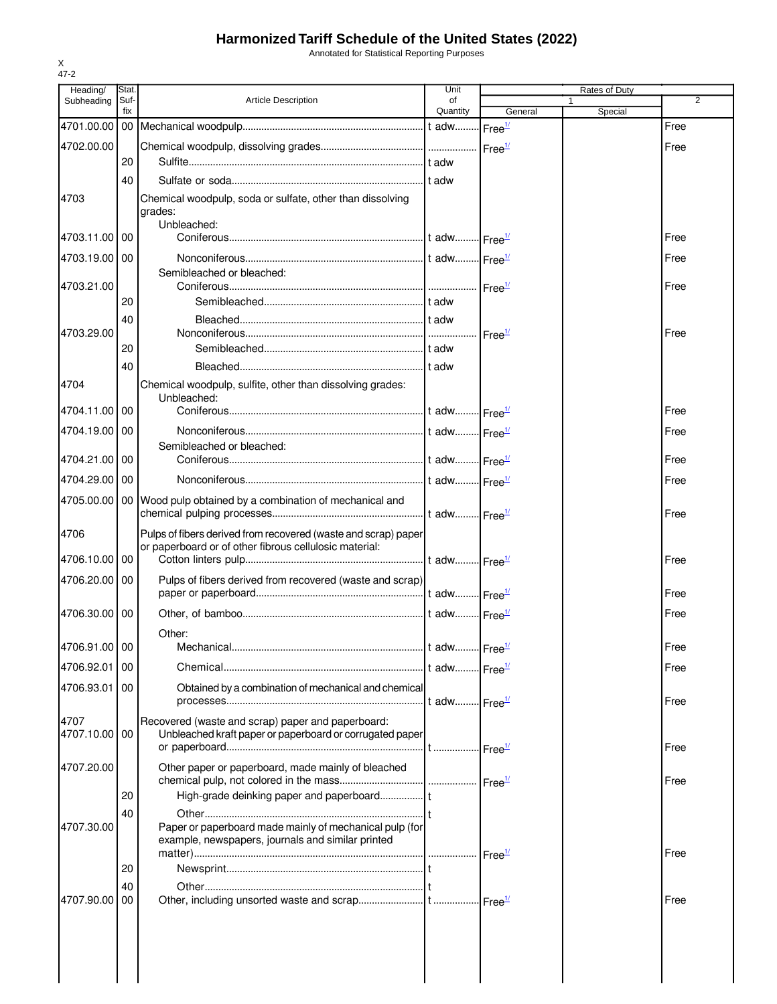# **Harmonized Tariff Schedule of the United States (2022)**

Annotated for Statistical Reporting Purposes

| Heading/      | Stat        |                                                                                                              | Unit           |                    | Rates of Duty | $\overline{2}$ |
|---------------|-------------|--------------------------------------------------------------------------------------------------------------|----------------|--------------------|---------------|----------------|
| Subheading    | Suf-<br>fix | <b>Article Description</b>                                                                                   | of<br>Quantity | General            | 1<br>Special  |                |
| 4701.00.00    |             |                                                                                                              |                | Free <sup>1/</sup> |               | Free           |
| 4702.00.00    |             |                                                                                                              |                |                    |               | Free           |
|               | 20          |                                                                                                              |                |                    |               |                |
|               | 40          |                                                                                                              |                |                    |               |                |
| 4703          |             | Chemical woodpulp, soda or sulfate, other than dissolving<br>grades:                                         |                |                    |               |                |
|               |             | Unbleached:                                                                                                  |                |                    |               |                |
| 4703.11.00    | 00          |                                                                                                              |                |                    |               | Free           |
| 4703.19.00    | 00          |                                                                                                              |                |                    |               | Free           |
| 4703.21.00    |             | Semibleached or bleached:                                                                                    |                |                    |               | Free           |
|               | 20          |                                                                                                              |                |                    |               |                |
|               | 40          |                                                                                                              |                |                    |               |                |
| 4703.29.00    |             |                                                                                                              |                | Free <sup>1/</sup> |               | Free           |
|               | 20          |                                                                                                              |                |                    |               |                |
|               | 40          |                                                                                                              |                |                    |               |                |
| 4704          |             | Chemical woodpulp, sulfite, other than dissolving grades:<br>Unbleached:                                     |                |                    |               |                |
| 4704.11.00    | 00          |                                                                                                              |                |                    |               | Free           |
| 4704.19.00 00 |             |                                                                                                              |                |                    |               | Free           |
| 4704.21.00 00 |             | Semibleached or bleached:                                                                                    |                |                    |               | Free           |
|               |             |                                                                                                              |                |                    |               |                |
| 4704.29.00 00 |             |                                                                                                              |                |                    |               | Free           |
|               |             | 4705.00.00   00   Wood pulp obtained by a combination of mechanical and                                      |                |                    |               | Free           |
| 4706          |             | Pulps of fibers derived from recovered (waste and scrap) paper                                               |                |                    |               |                |
|               |             | or paperboard or of other fibrous cellulosic material:                                                       |                |                    |               |                |
| 4706.10.00    | 00          |                                                                                                              |                |                    |               | Free           |
| 4706.20.00 00 |             | Pulps of fibers derived from recovered (waste and scrap)                                                     |                |                    |               | Free           |
| 4706.30.00    | 00          |                                                                                                              |                |                    |               | Free           |
|               |             |                                                                                                              |                |                    |               |                |
| 4706.91.00 00 |             | Other:                                                                                                       |                |                    |               | Free           |
| 4706.92.01 00 |             |                                                                                                              |                |                    |               | Free           |
| 4706.93.01    | 00          | Obtained by a combination of mechanical and chemical                                                         |                |                    |               |                |
|               |             |                                                                                                              |                |                    |               | Free           |
| 4707          |             | Recovered (waste and scrap) paper and paperboard:                                                            |                |                    |               |                |
| 4707.10.00 00 |             | Unbleached kraft paper or paperboard or corrugated paper                                                     |                |                    |               | Free           |
|               |             |                                                                                                              |                |                    |               |                |
| 4707.20.00    |             | Other paper or paperboard, made mainly of bleached                                                           |                |                    |               | Free           |
|               | 20          |                                                                                                              |                |                    |               |                |
|               | 40          |                                                                                                              |                |                    |               |                |
| 4707.30.00    |             | Paper or paperboard made mainly of mechanical pulp (for<br>example, newspapers, journals and similar printed |                |                    |               |                |
|               |             |                                                                                                              |                |                    |               | Free           |
|               | 20          |                                                                                                              |                |                    |               |                |
| 4707.90.00    | 40<br>00    |                                                                                                              |                |                    |               | Free           |
|               |             |                                                                                                              |                |                    |               |                |
|               |             |                                                                                                              |                |                    |               |                |
|               |             |                                                                                                              |                |                    |               |                |
|               |             |                                                                                                              |                |                    |               |                |
|               |             |                                                                                                              |                |                    |               |                |

X 47-2